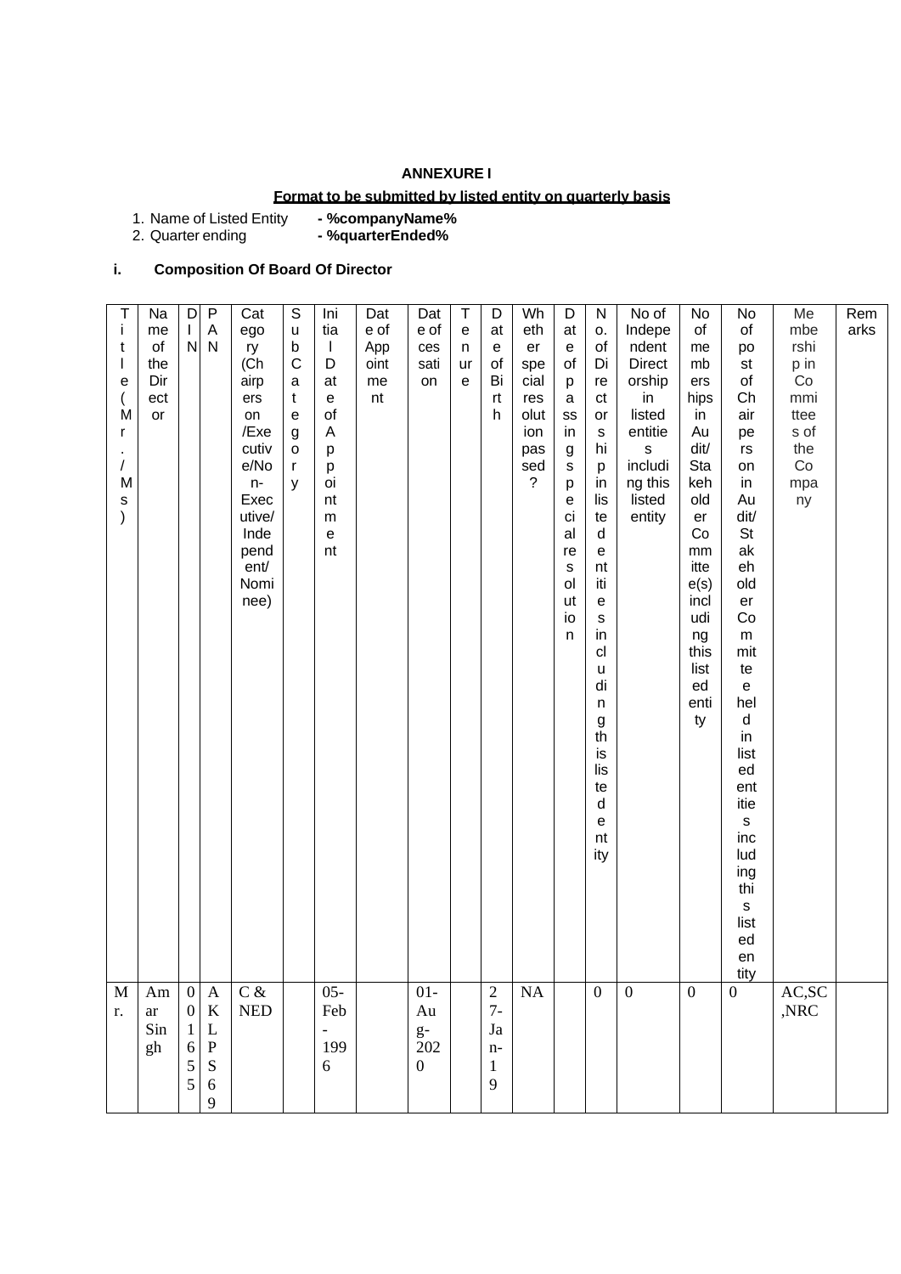## **ANNEXURE I**

## **Format to be submitted by listed entity on quarterly basis**

1. Name of Listed Entity<br>2. Quarter ending - %companyName%<br>- %quarterEnded%

# **i. Composition Of Board Of Director**

| $C$ &<br>AC,SC<br>$05 -$<br>$01-$<br><b>NA</b><br>$\boldsymbol{0}$<br>$\boldsymbol{0}$<br>$\mathbf{2}$<br>$\boldsymbol{0}$<br>$\boldsymbol{0}$<br>$\mathbf M$<br>Am<br>$\mathbf{0}$<br>A<br>$7-$<br>,NRC<br>$\boldsymbol{0}$<br>$\bf K$<br>$\ensuremath{\mathsf{NED}}$<br>Feb<br>Au<br>$\operatorname{ar}$<br>r.<br>Sin<br>L<br>Ja<br>$g-$<br>$\mathbf{1}$<br>$\overline{\phantom{0}}$<br>199<br>202<br>$\mathbf P$<br>gh<br>6<br>$n-$ |
|----------------------------------------------------------------------------------------------------------------------------------------------------------------------------------------------------------------------------------------------------------------------------------------------------------------------------------------------------------------------------------------------------------------------------------------|
|                                                                                                                                                                                                                                                                                                                                                                                                                                        |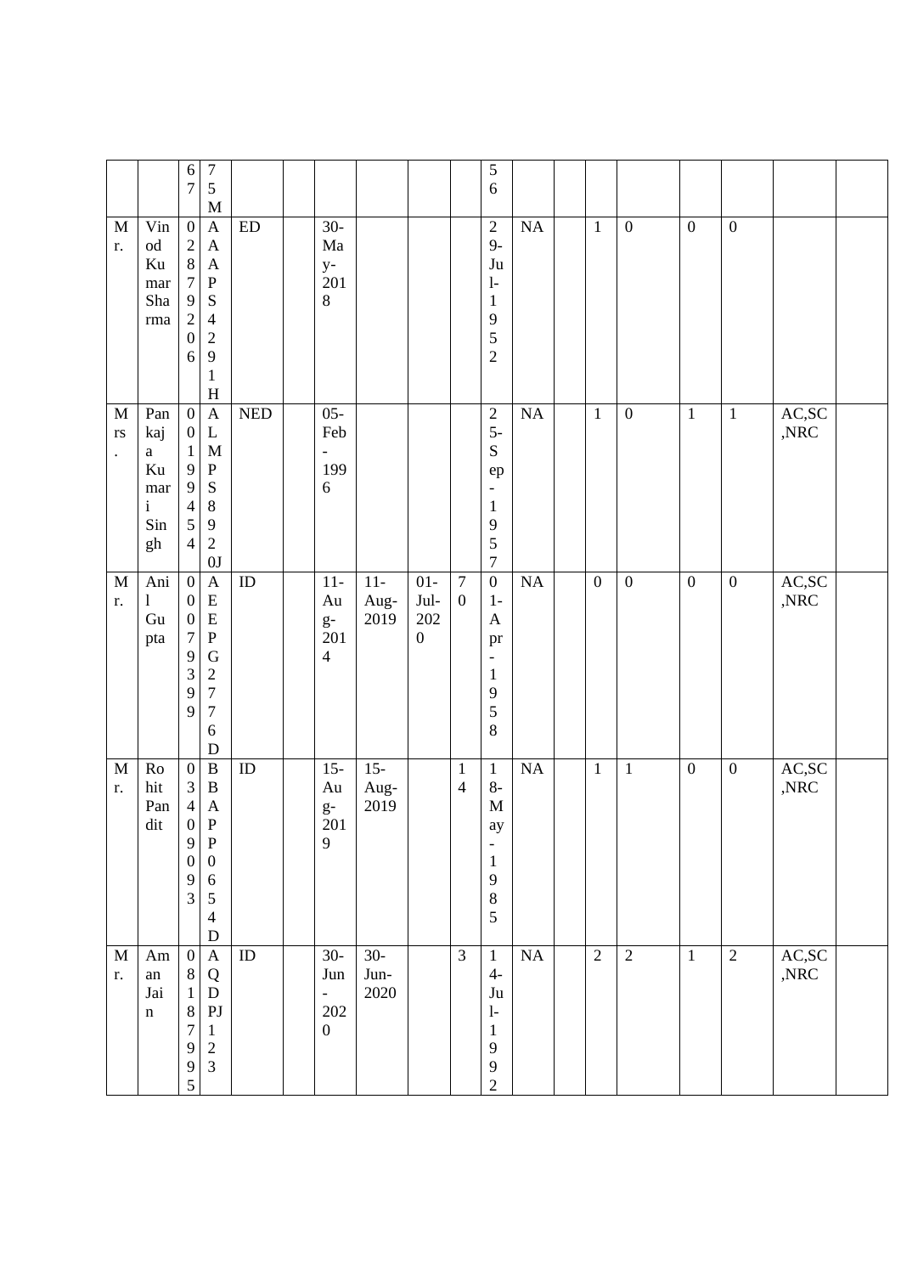|                                                     |                                                                      | $\sqrt{6}$<br>$\overline{7}$<br>$\sqrt{5}$<br>7                                                                                                                                                                               | $\mathbf M$                                                                          |            |                                                                     |                           |                                                  |                                      | $\sqrt{5}$<br>$\sqrt{6}$                                                                                  |    |                  |                  |                  |                  |                          |  |
|-----------------------------------------------------|----------------------------------------------------------------------|-------------------------------------------------------------------------------------------------------------------------------------------------------------------------------------------------------------------------------|--------------------------------------------------------------------------------------|------------|---------------------------------------------------------------------|---------------------------|--------------------------------------------------|--------------------------------------|-----------------------------------------------------------------------------------------------------------|----|------------------|------------------|------------------|------------------|--------------------------|--|
| $\mathbf M$<br>r.                                   | Vin<br>$\rm od$<br>Ku<br>mar<br>Sha<br>$\rm{rma}$                    | $\boldsymbol{0}$<br>$\sqrt{2}$<br>$8\,$<br>$\boldsymbol{7}$<br>${\bf P}$<br>$\boldsymbol{9}$<br>S<br>$\sqrt{2}$<br>$\overline{4}$<br>$\boldsymbol{0}$<br>$\overline{2}$<br>9<br>$6\,$<br>$\mathbf 1$                          | $\mathbf{A}$<br>$\mathbf{A}$<br>$\mathbf{A}$<br>H                                    | ${\rm ED}$ | $30-$<br>Ma<br>$y-$<br>201<br>$8\,$                                 |                           |                                                  |                                      | $\sqrt{2}$<br>$9-$<br>Ju<br>$\mathbf{l}$<br>$\mathbf{1}$<br>9<br>5<br>$\overline{2}$                      | NA | $\mathbf{1}$     | $\boldsymbol{0}$ | $\boldsymbol{0}$ | $\boldsymbol{0}$ |                          |  |
| M<br>$\mathbf{r}\mathbf{s}$<br>$\ddot{\phantom{0}}$ | Pan<br>kaj<br>$\mathbf{a}$<br>Ku<br>mar<br>$\mathbf{i}$<br>Sin<br>gh | $\mathbf{0}$<br>$\boldsymbol{0}$<br>$\mathbf{1}$<br>9<br>${\bf P}$<br>S<br>9<br>$8\phantom{1}$<br>$\overline{4}$<br>$\mathfrak{S}$<br>9<br>$\overline{2}$<br>$\overline{4}$                                                   | $\mathbf{A}$<br>$\mathbf{L}$<br>M<br>0J                                              | <b>NED</b> | $05 -$<br>Feb<br>$\overline{\phantom{a}}$<br>199<br>6               |                           |                                                  |                                      | $rac{2}{5}$<br>${\bf S}$<br>ep<br>$\qquad \qquad -$<br>$\mathbf{1}$<br>9<br>5<br>$\boldsymbol{7}$         | NA | $\mathbf{1}$     | $\boldsymbol{0}$ | $\,1\,$          | $\mathbf{1}$     | AC, SC<br>$,\!{\rm NRC}$ |  |
| $\mathbf M$<br>r.                                   | $An\bar{i}$<br>1<br>Gu<br>pta                                        | $\boldsymbol{0}$<br>$\boldsymbol{0}$<br>$\boldsymbol{0}$<br>$\, {\bf P}$<br>$\tau$<br>9<br>$\mathfrak 3$<br>$\sqrt{2}$<br>$\boldsymbol{7}$<br>9<br>$\overline{7}$<br>9<br>6                                                   | $\mathbf{A}$<br>${\bf E}$<br>${\bf E}$<br>$\mathbf G$<br>$\mathbf D$                 | ID         | $11-$<br>Au<br>$g\text{-}$<br>201<br>$\overline{4}$                 | $11-$<br>Aug-<br>2019     | $01-$<br>$\rm{Jul}$ -<br>202<br>$\boldsymbol{0}$ | $\boldsymbol{7}$<br>$\boldsymbol{0}$ | $\boldsymbol{0}$<br>$1-$<br>$\mathbf{A}$<br>pr<br>$\overline{\phantom{a}}$<br>$\mathbf{1}$<br>9<br>5<br>8 | NA | $\boldsymbol{0}$ | $\boldsymbol{0}$ | $\boldsymbol{0}$ | $\boldsymbol{0}$ | AC, SC<br>,NRC           |  |
| $\mathbf M$<br>r.                                   | Ro<br>hit<br>Pan<br>dit                                              | $\boldsymbol{0}$<br>$\mathfrak{Z}$<br>$\overline{4}$<br>$\, {\bf P}$<br>$\boldsymbol{0}$<br>9<br>$\mathbf P$<br>$\boldsymbol{0}$<br>$\boldsymbol{0}$<br>$\overline{9}$<br>6<br>$\mathfrak{Z}$<br>$\sqrt{5}$<br>$\overline{4}$ | $\, {\bf B}$<br>$\boldsymbol{B}$<br>$\boldsymbol{A}$<br>${\bf D}$                    | ID         | $15 -$<br>Au<br>$g-$<br>201<br>9                                    | $15 -$<br>Aug-<br>2019    |                                                  | $\mathbf{1}$<br>$\overline{4}$       | $\mathbf{1}$<br>$8-$<br>$\mathbf M$<br>ay<br>$\qquad \qquad -$<br>$\mathbf{1}$<br>$\mathbf{9}$<br>8<br>5  | NA | $\mathbf{1}$     | $\mathbf{1}$     | $\boldsymbol{0}$ | $\boldsymbol{0}$ | AC,SC<br>$,\!{\rm NRC}$  |  |
| $\mathbf M$<br>r.                                   | Am<br>${\rm an}$<br>Jai<br>$\mathbf n$                               | $\mathbf{0}$<br>$8\,$<br>$\mathbf{1}$<br>$8\,$<br>$\tau$<br>$\overline{c}$<br>$\overline{9}$<br>$\overline{3}$<br>$\boldsymbol{9}$<br>5                                                                                       | $\mathbf{A}$<br>${\bf Q}$<br>${\bf D}$<br>$\mathop{\rm PJ}\nolimits$<br>$\mathbf{1}$ | ID         | $30-$<br>Jun<br>$\overline{\phantom{0}}$<br>$202\,$<br>$\mathbf{0}$ | $30-$<br>Jun-<br>$2020\,$ |                                                  | $\overline{3}$                       | $\mathbf{1}$<br>$4-$<br>Ju<br>$\mathbf{l}$<br>$\mathbf{1}$<br>9<br>$\mathbf{9}$<br>$\sqrt{2}$             | NA | $\overline{2}$   | $\sqrt{2}$       | $1\,$            | $\overline{2}$   | AC,SC<br>$,\!{\rm NRC}$  |  |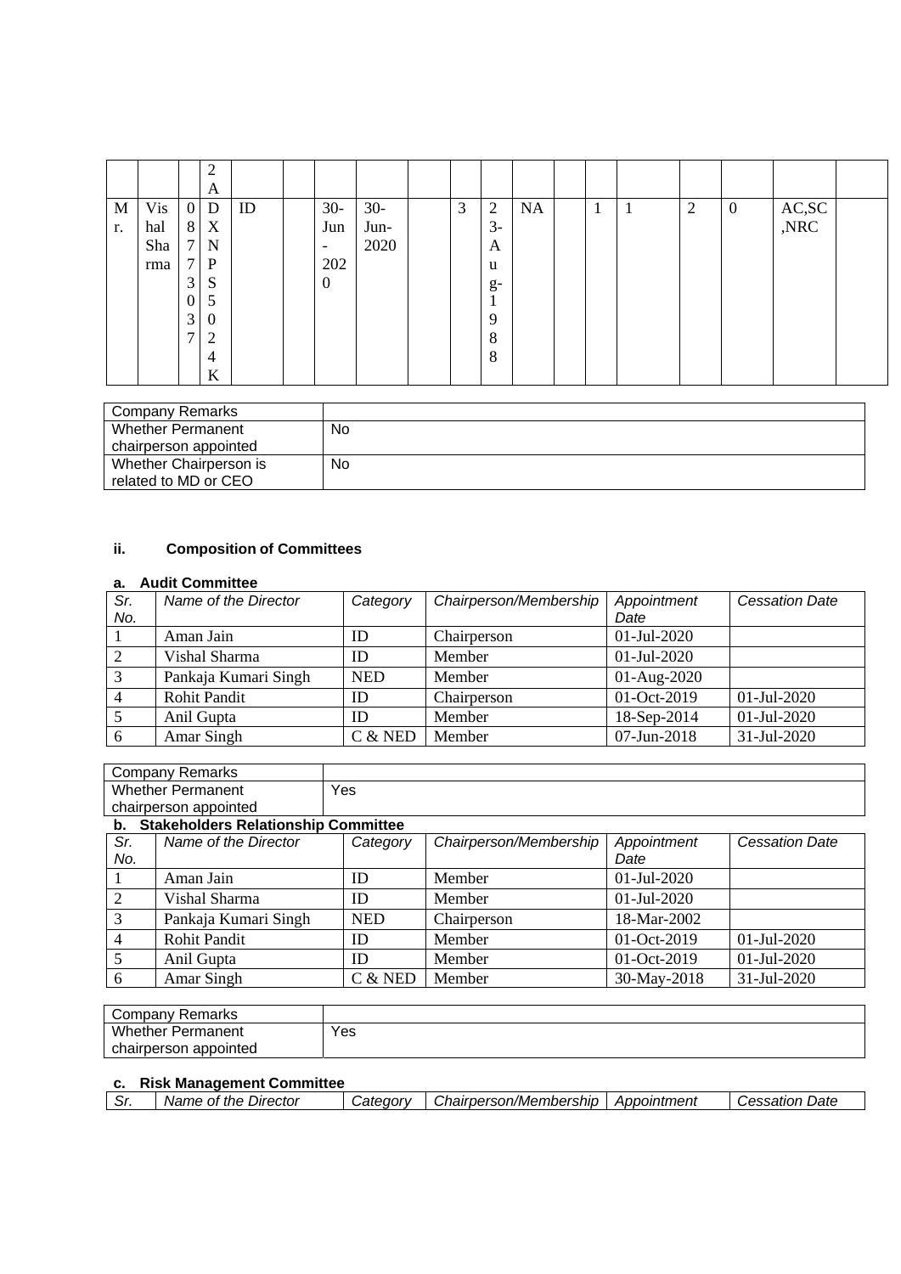|    |            |                | $\overline{2}$<br>A |    |                          |       |   |                |           |                   |              |                |                  |               |  |
|----|------------|----------------|---------------------|----|--------------------------|-------|---|----------------|-----------|-------------------|--------------|----------------|------------------|---------------|--|
| M  | <b>Vis</b> | $\overline{0}$ | D                   | ID | $30-$                    | $30-$ | 3 | $\overline{2}$ | <b>NA</b> | 1<br>$\mathbf{I}$ | $\mathbf{I}$ | $\overline{2}$ | $\boldsymbol{0}$ |               |  |
| r. | hal        | 8              | X                   |    | Jun                      | Jun-  |   | $3-$           |           |                   |              |                |                  | AC,SC<br>,NRC |  |
|    | Sha        | 7 <sub>1</sub> | N                   |    | $\overline{\phantom{0}}$ | 2020  |   | A              |           |                   |              |                |                  |               |  |
|    | rma        | 7 <sub>1</sub> | P                   |    | 202                      |       |   | u              |           |                   |              |                |                  |               |  |
|    |            | 3              | S                   |    | $\mathbf{0}$             |       |   | $g-$           |           |                   |              |                |                  |               |  |
|    |            | $\mathbf{0}$   | 5                   |    |                          |       |   |                |           |                   |              |                |                  |               |  |
|    |            | 3              | $\boldsymbol{0}$    |    |                          |       |   | 9              |           |                   |              |                |                  |               |  |
|    |            | 7              | $\overline{2}$      |    |                          |       |   | 8              |           |                   |              |                |                  |               |  |
|    |            |                | 4                   |    |                          |       |   | 8              |           |                   |              |                |                  |               |  |
|    |            |                | K                   |    |                          |       |   |                |           |                   |              |                |                  |               |  |

| No |
|----|
|    |
| No |
|    |
|    |

# **ii. Composition of Committees**

#### **a. Audit Committee**

| Sr. | Name of the Director | Category   | Chairperson/Membership | Appointment   | <b>Cessation Date</b> |
|-----|----------------------|------------|------------------------|---------------|-----------------------|
| No. |                      |            |                        | Date          |                       |
|     | Aman Jain            | ID         | Chairperson            | 01-Jul-2020   |                       |
|     | Vishal Sharma        | ID         | Member                 | 01-Jul-2020   |                       |
|     | Pankaja Kumari Singh | <b>NED</b> | Member                 | $01-Aug-2020$ |                       |
|     | <b>Rohit Pandit</b>  | ID         | Chairperson            | 01-Oct-2019   | $01$ -Jul-2020        |
|     | Anil Gupta           | ID         | Member                 | 18-Sep-2014   | 01-Jul-2020           |
|     | Amar Singh           | $C &$ NED  | Member                 | 07-Jun-2018   | 31-Jul-2020           |

| Company Remarks                            |     |
|--------------------------------------------|-----|
| Whether Permanent                          | Yes |
| chairperson appointed                      |     |
| <b>Stakeholders Relationship Committee</b> |     |

| Sr.<br>No. | Name of the Director | Category   | Chairperson/Membership | Appointment<br>Date | <b>Cessation Date</b> |
|------------|----------------------|------------|------------------------|---------------------|-----------------------|
|            | Aman Jain            | ID         | Member                 | $01$ -Jul-2020      |                       |
|            | Vishal Sharma        | ID         | Member                 | $01$ -Jul-2020      |                       |
|            | Pankaja Kumari Singh | <b>NED</b> | Chairperson            | 18-Mar-2002         |                       |
|            | <b>Rohit Pandit</b>  | ID         | Member                 | 01-Oct-2019         | $01$ -Jul-2020        |
|            | Anil Gupta           | ID         | Member                 | 01-Oct-2019         | $01$ -Jul-2020        |
| 6          | Amar Singh           | C & NED    | Member                 | 30-May-2018         | 31-Jul-2020           |

| Remarks<br>Company '                |     |
|-------------------------------------|-----|
| <b>M/h</b><br>.iether.<br>Permanent | Yes |
| appointed<br>chairperson            |     |

## **c. Risk Management Committee**

| Director<br>the<br>Nai<br>эте<br>Ωt | ----<br>. atedory | Chairperson/Membership.<br>. "nairm | Appointment | Dato<br>ssatıor<br>ົ |
|-------------------------------------|-------------------|-------------------------------------|-------------|----------------------|
|                                     |                   |                                     |             |                      |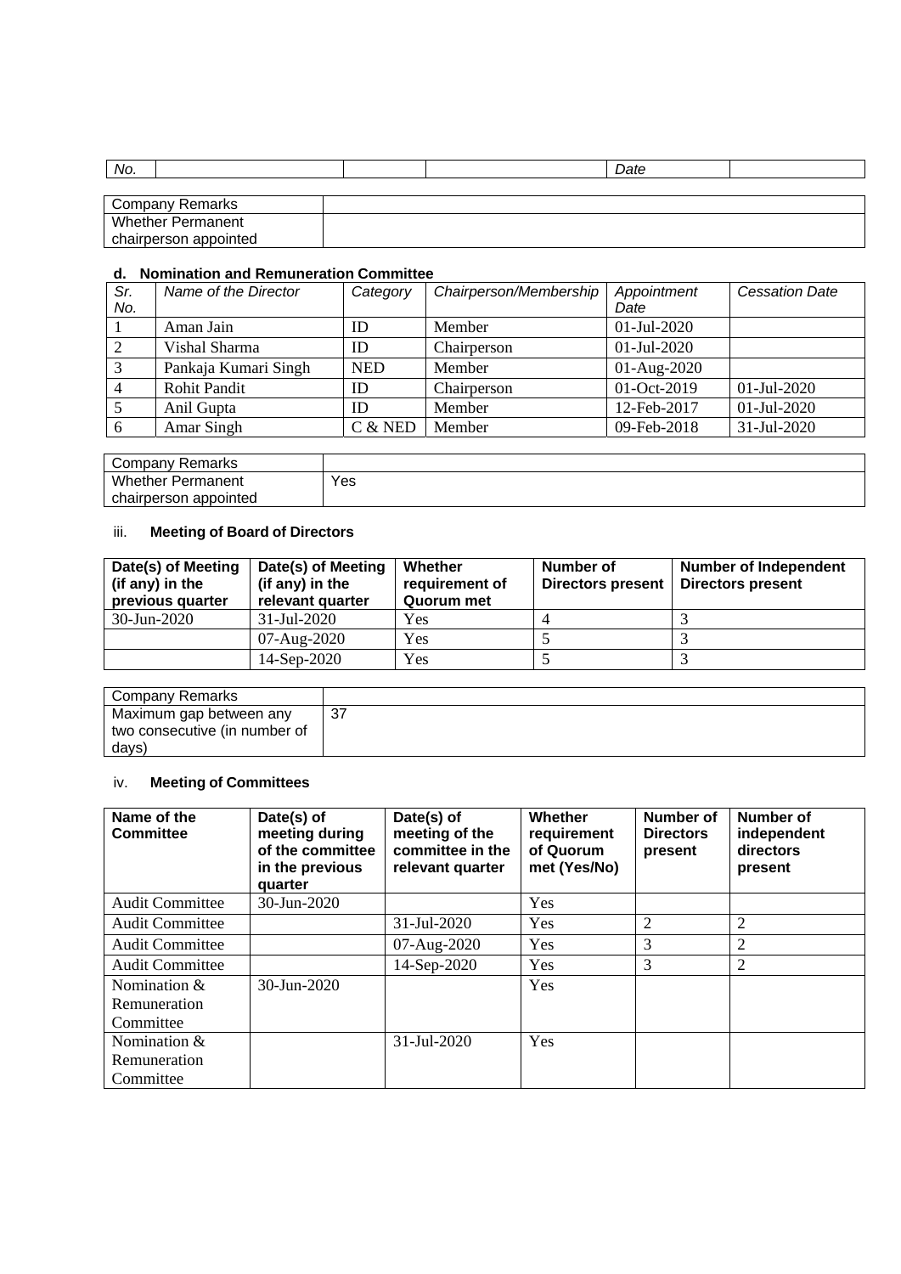| No.                      |  | Date |  |
|--------------------------|--|------|--|
|                          |  |      |  |
| Company Remarks          |  |      |  |
| <b>Whether Permanent</b> |  |      |  |
| chairperson appointed    |  |      |  |

#### **d. Nomination and Remuneration Committee**

| Sr. | Name of the Director | Category   | Chairperson/Membership | Appointment    | <b>Cessation Date</b> |
|-----|----------------------|------------|------------------------|----------------|-----------------------|
| No. |                      |            |                        | Date           |                       |
|     | Aman Jain            | ID         | Member                 | $01$ -Jul-2020 |                       |
| 2   | Vishal Sharma        | ID         | Chairperson            | $01$ -Jul-2020 |                       |
| 3   | Pankaja Kumari Singh | <b>NED</b> | Member                 | $01-Aug-2020$  |                       |
|     | <b>Rohit Pandit</b>  | ID         | Chairperson            | 01-Oct-2019    | $01-Jul-2020$         |
|     | Anil Gupta           | ID         | Member                 | 12-Feb-2017    | 01-Jul-2020           |
| 6   | Amar Singh           | C & NED    | Member                 | 09-Feb-2018    | 31-Jul-2020           |

| Company Remarks          |     |
|--------------------------|-----|
| <b>Whether Permanent</b> | Yes |
| chairperson<br>appointed |     |

# iii. **Meeting of Board of Directors**

| Date(s) of Meeting<br>(if any) in the<br>previous quarter | Date(s) of Meeting<br>(if any) in the<br>relevant quarter | <b>Whether</b><br>requirement of<br>Quorum met | Number of<br><b>Directors present</b> | <b>Number of Independent</b><br><b>Directors present</b> |
|-----------------------------------------------------------|-----------------------------------------------------------|------------------------------------------------|---------------------------------------|----------------------------------------------------------|
| 30-Jun-2020                                               | 31-Jul-2020                                               | Yes                                            |                                       |                                                          |
|                                                           | 07-Aug-2020                                               | Yes                                            |                                       |                                                          |
|                                                           | 14-Sep-2020                                               | Yes                                            |                                       |                                                          |

| Company Remarks               |  |
|-------------------------------|--|
| Maximum gap between any       |  |
| two consecutive (in number of |  |
| days)                         |  |

# iv. **Meeting of Committees**

| Name of the<br><b>Committee</b> | Date(s) of<br>meeting during<br>of the committee<br>in the previous<br>quarter | Date(s) of<br>meeting of the<br>committee in the<br>relevant quarter | <b>Whether</b><br>requirement<br>of Quorum<br>met (Yes/No) | Number of<br><b>Directors</b><br>present | Number of<br>independent<br>directors<br>present |
|---------------------------------|--------------------------------------------------------------------------------|----------------------------------------------------------------------|------------------------------------------------------------|------------------------------------------|--------------------------------------------------|
| <b>Audit Committee</b>          | 30-Jun-2020                                                                    |                                                                      | Yes                                                        |                                          |                                                  |
| <b>Audit Committee</b>          |                                                                                | 31-Jul-2020                                                          | Yes                                                        | $\overline{2}$                           | $\overline{2}$                                   |
| <b>Audit Committee</b>          |                                                                                | 07-Aug-2020                                                          | <b>Yes</b>                                                 | 3                                        | $\overline{2}$                                   |
| <b>Audit Committee</b>          |                                                                                | 14-Sep-2020                                                          | Yes                                                        | 3                                        | $\overline{2}$                                   |
| Nomination &                    | $30 - Jun - 2020$                                                              |                                                                      | Yes                                                        |                                          |                                                  |
| Remuneration                    |                                                                                |                                                                      |                                                            |                                          |                                                  |
| Committee                       |                                                                                |                                                                      |                                                            |                                          |                                                  |
| Nomination &                    |                                                                                | $31 - \text{Jul} - 2020$                                             | Yes                                                        |                                          |                                                  |
| Remuneration                    |                                                                                |                                                                      |                                                            |                                          |                                                  |
| Committee                       |                                                                                |                                                                      |                                                            |                                          |                                                  |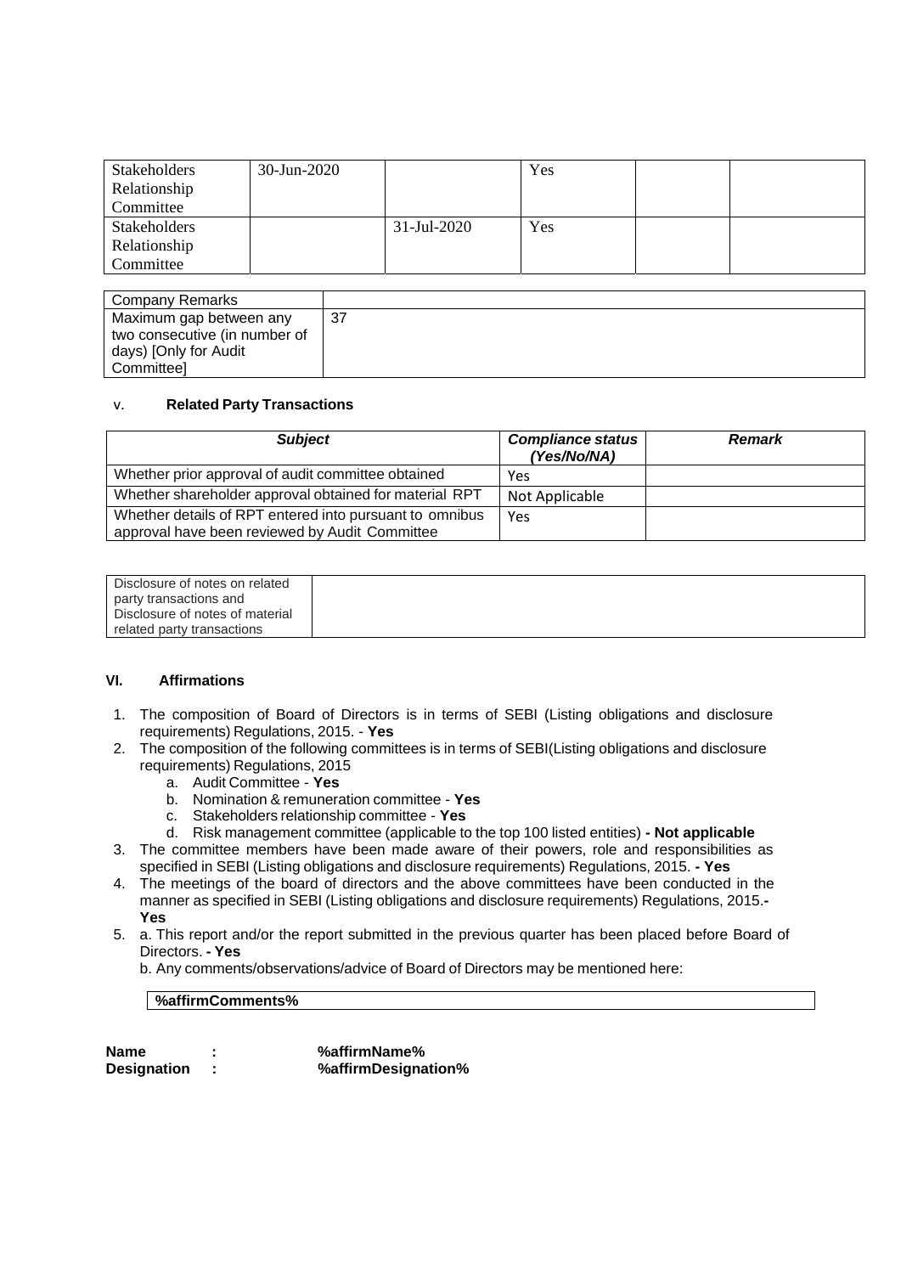| <b>Stakeholders</b> | 30-Jun-2020 |             | Yes |  |
|---------------------|-------------|-------------|-----|--|
| Relationship        |             |             |     |  |
| Committee           |             |             |     |  |
| <b>Stakeholders</b> |             | 31-Jul-2020 | Yes |  |
| Relationship        |             |             |     |  |
| Committee           |             |             |     |  |

| Company Remarks               |    |
|-------------------------------|----|
| Maximum gap between any       | 37 |
| two consecutive (in number of |    |
| days) [Only for Audit         |    |
| Committeel                    |    |

### v. **Related Party Transactions**

| <b>Subject</b>                                                                                            | <b>Compliance status</b><br>(Yes/No/NA) | <b>Remark</b> |
|-----------------------------------------------------------------------------------------------------------|-----------------------------------------|---------------|
| Whether prior approval of audit committee obtained                                                        | Yes                                     |               |
| Whether shareholder approval obtained for material RPT                                                    | Not Applicable                          |               |
| Whether details of RPT entered into pursuant to omnibus<br>approval have been reviewed by Audit Committee | Yes                                     |               |

Disclosure of notes on related party transactions and Disclosure of notes of material related party transactions

#### **VI. Affirmations**

- 1. The composition of Board of Directors is in terms of SEBI (Listing obligations and disclosure requirements) Regulations, 2015. - **Yes**
- 2. The composition of the following committees is in terms of SEBI(Listing obligations and disclosure requirements) Regulations, 2015
	- a. Audit Committee **Yes**
	- b. Nomination & remuneration committee **Yes**
	- c. Stakeholders relationship committee **Yes**
	- d. Risk management committee (applicable to the top 100 listed entities)  **Not applicable**
- 3. The committee members have been made aware of their powers, role and responsibilities as specified in SEBI (Listing obligations and disclosure requirements) Regulations, 2015. **- Yes**
- 4. The meetings of the board of directors and the above committees have been conducted in the manner as specified in SEBI (Listing obligations and disclosure requirements) Regulations, 2015.**- Yes**
- 5. a. This report and/or the report submitted in the previous quarter has been placed before Board of Directors. **- Yes**

b. Any comments/observations/advice of Board of Directors may be mentioned here:

### **%affirmComments%**

| Name               | %affirmName%        |
|--------------------|---------------------|
| <b>Designation</b> | %affirmDesignation% |